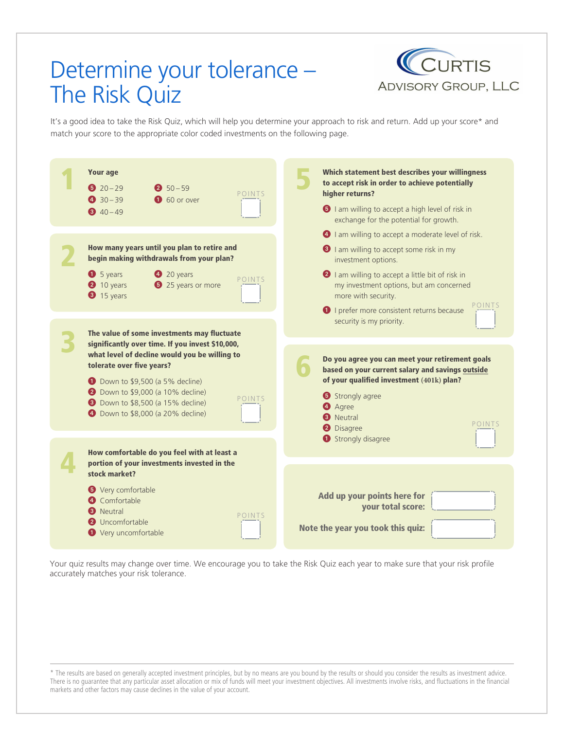# Determine your tolerance – The Risk Quiz



It's a good idea to take the Risk Quiz, which will help you determine your approach to risk and return. Add up your score\* and match your score to the appropriate color coded investments on the following page.



Your quiz results may change over time. We encourage you to take the Risk Quiz each year to make sure that your risk profile accurately matches your risk tolerance.

\* The results are based on generally accepted investment principles, but by no means are you bound by the results or should you consider the results as investment advice. There is no guarantee that any particular asset allocation or mix of funds will meet your investment objectives. All investments involve risks, and fluctuations in the financial markets and other factors may cause declines in the value of your account.